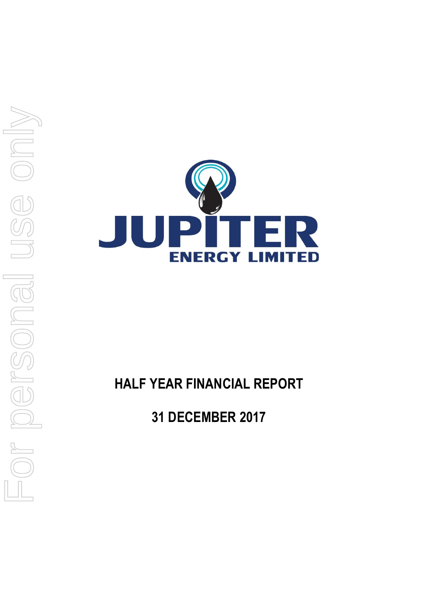

# **HALF YEAR FINANCIAL REPORT**

**31 DECEMBER 2017**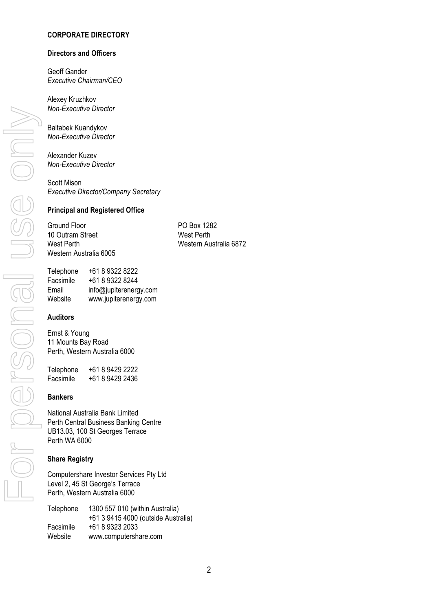### **CORPORATE DIRECTORY**

### **Directors and Officers**

Geoff Gander *Executive Chairman/CEO*

Alexey Kruzhkov *Non-Executive Director*

Baltabek Kuandykov *Non-Executive Director*

Alexander Kuzev *Non-Executive Director*

Scott Mison *Executive Director/Company Secretary* 

### **Principal and Registered Office**

Ground Floor PO Box 1282 10 Outram Street West Perth Western Australia 6005

West Perth Western Australia 6872

Telephone +61 8 9322 8222 Facsimile +61 8 9322 8244 Email info@jupiterenergy.com<br>Website www.iupiterenergy.com www.jupiterenergy.com

### **Auditors**

Ernst & Young 11 Mounts Bay Road Perth, Western Australia 6000

Telephone +61 8 9429 2222 +61 8 9429 2436

### **Bankers**

National Australia Bank Limited Perth Central Business Banking Centre UB13.03, 100 St Georges Terrace Perth WA 6000

### **Share Registry**

Computershare Investor Services Pty Ltd Level 2, 45 St George's Terrace Perth, Western Australia 6000

| Telephone | 1300 557 010 (within Australia)     |
|-----------|-------------------------------------|
|           | +61 3 9415 4000 (outside Australia) |
| Facsimile | +61 8 9323 2033                     |
| Website   | www.computershare.com               |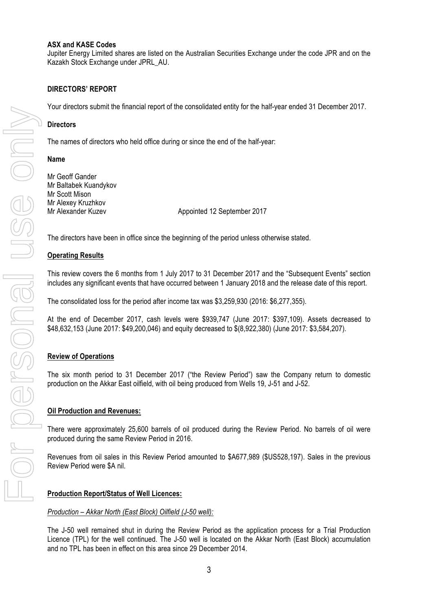### **ASX and KASE Codes**

Jupiter Energy Limited shares are listed on the Australian Securities Exchange under the code JPR and on the Kazakh Stock Exchange under JPRL\_AU.

### **DIRECTORS' REPORT**

Your directors submit the financial report of the consolidated entity for the half-year ended 31 December 2017.

### **Directors**

The names of directors who held office during or since the end of the half-year:

#### **Name**

Mr Geoff Gander Mr Baltabek Kuandykov Mr Scott Mison Mr Alexey Kruzhkov Mr Alexander Kuzev **Appointed 12 September 2017** 

The directors have been in office since the beginning of the period unless otherwise stated.

### **Operating Results**

This review covers the 6 months from 1 July 2017 to 31 December 2017 and the "Subsequent Events" section includes any significant events that have occurred between 1 January 2018 and the release date of this report.

The consolidated loss for the period after income tax was \$3,259,930 (2016: \$6,277,355).

At the end of December 2017, cash levels were \$939,747 (June 2017: \$397,109). Assets decreased to \$48,632,153 (June 2017: \$49,200,046) and equity decreased to \$(8,922,380) (June 2017: \$3,584,207).

### **Review of Operations**

The six month period to 31 December 2017 ("the Review Period") saw the Company return to domestic production on the Akkar East oilfield, with oil being produced from Wells 19, J-51 and J-52.

### **Oil Production and Revenues:**

There were approximately 25,600 barrels of oil produced during the Review Period. No barrels of oil were produced during the same Review Period in 2016.

Revenues from oil sales in this Review Period amounted to \$A677,989 (\$US528,197). Sales in the previous Review Period were \$A nil.

### **Production Report/Status of Well Licences:**

### *Production – Akkar North (East Block) Oilfield (J-50 well):*

The J-50 well remained shut in during the Review Period as the application process for a Trial Production Licence (TPL) for the well continued. The J-50 well is located on the Akkar North (East Block) accumulation and no TPL has been in effect on this area since 29 December 2014.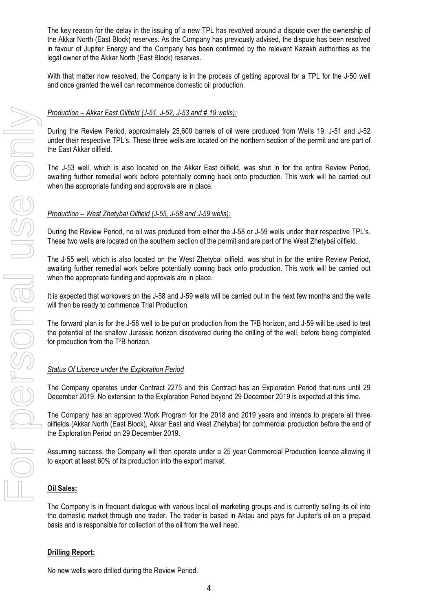The key reason for the delay in the issuing of a new TPL has revolved around a dispute over the ownership of the Akkar North (East Block) reserves. As the Company has previously advised, the dispute has been resolved in favour of Jupiter Energy and the Company has been confirmed by the relevant Kazakh authorities as the legal owner of the Akkar North (East Block) reserves.

With that matter now resolved, the Company is in the process of getting approval for a TPL for the J-50 well and once granted the well can recommence domestic oil production.

### *Production – Akkar East Oilfield (J-51, J-52, J-53 and # 19 wells):*

During the Review Period, approximately 25,600 barrels of oil were produced from Wells 19, J-51 and J-52 under their respective TPL's. These three wells are located on the northern section of the permit and are part of the East Akkar oilfield.

The J-53 well, which is also located on the Akkar East oilfield, was shut in for the entire Review Period, awaiting further remedial work before potentially coming back onto production. This work will be carried out when the appropriate funding and approvals are in place.

### *Production – West Zhetybai Oilfield (J-55, J-58 and J-59 wells):*

During the Review Period, no oil was produced from either the J-58 or J-59 wells under their respective TPL's. These two wells are located on the southern section of the permit and are part of the West Zhetybai oilfield.

The J-55 well, which is also located on the West Zhetybai oilfield, was shut in for the entire Review Period, awaiting further remedial work before potentially coming back onto production. This work will be carried out when the appropriate funding and approvals are in place.

It is expected that workovers on the J-58 and J-59 wells will be carried out in the next few months and the wells will then be ready to commence Trial Production.

The forward plan is for the J-58 well to be put on production from the T2B horizon, and J-59 will be used to test the potential of the shallow Jurassic horizon discovered during the drilling of the well, before being completed for production from the T2B horizon.

### *Status Of Licence under the Exploration Period*

The Company operates under Contract 2275 and this Contract has an Exploration Period that runs until 29 December 2019. No extension to the Exploration Period beyond 29 December 2019 is expected at this time.

The Company has an approved Work Program for the 2018 and 2019 years and intends to prepare all three oilfields (Akkar North (East Block), Akkar East and West Zhetybai) for commercial production before the end of the Exploration Period on 29 December 2019.

Assuming success, the Company will then operate under a 25 year Commercial Production licence allowing it to export at least 60% of its production into the export market.

### **Oil Sales:**

The Company is in frequent dialogue with various local oil marketing groups and is currently selling its oil into the domestic market through one trader. The trader is based in Aktau and pays for Jupiter's oil on a prepaid basis and is responsible for collection of the oil from the well head.

#### **Drilling Report:**

No new wells were drilled during the Review Period.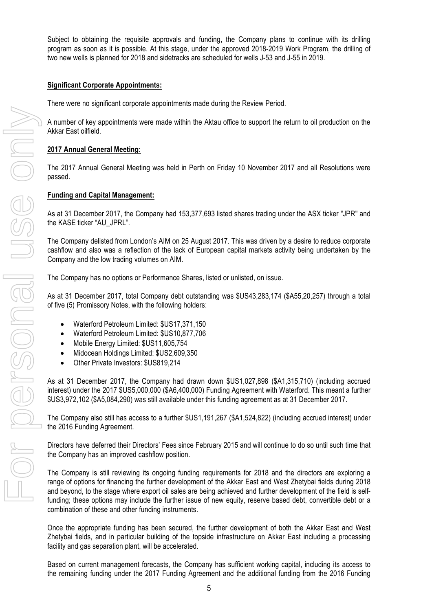Subject to obtaining the requisite approvals and funding, the Company plans to continue with its drilling program as soon as it is possible. At this stage, under the approved 2018-2019 Work Program, the drilling of two new wells is planned for 2018 and sidetracks are scheduled for wells J-53 and J-55 in 2019.

### **Significant Corporate Appointments:**

There were no significant corporate appointments made during the Review Period.

A number of key appointments were made within the Aktau office to support the return to oil production on the Akkar East oilfield.

### **2017 Annual General Meeting:**

The 2017 Annual General Meeting was held in Perth on Friday 10 November 2017 and all Resolutions were passed.

### **Funding and Capital Management:**

As at 31 December 2017, the Company had 153,377,693 listed shares trading under the ASX ticker "JPR" and the KASE ticker "AU\_JPRL".

The Company delisted from London's AIM on 25 August 2017. This was driven by a desire to reduce corporate cashflow and also was a reflection of the lack of European capital markets activity being undertaken by the Company and the low trading volumes on AIM.

The Company has no options or Performance Shares, listed or unlisted, on issue.

As at 31 December 2017, total Company debt outstanding was \$US43,283,174 (\$A55,20,257) through a total of five (5) Promissory Notes, with the following holders:

- Waterford Petroleum Limited: \$US17,371,150
- Waterford Petroleum Limited: \$US10,877,706
- Mobile Energy Limited: \$US11,605,754
- Midocean Holdings Limited: \$US2,609,350
- Other Private Investors: \$US819,214

As at 31 December 2017, the Company had drawn down \$US1,027,898 (\$A1,315,710) (including accrued interest) under the 2017 \$US5,000,000 (\$A6,400,000) Funding Agreement with Waterford. This meant a further \$US3,972,102 (\$A5,084,290) was still available under this funding agreement as at 31 December 2017.

The Company also still has access to a further \$US1,191,267 (\$A1,524,822) (including accrued interest) under the 2016 Funding Agreement.

Directors have deferred their Directors' Fees since February 2015 and will continue to do so until such time that the Company has an improved cashflow position.

The Company is still reviewing its ongoing funding requirements for 2018 and the directors are exploring a range of options for financing the further development of the Akkar East and West Zhetybai fields during 2018 and beyond, to the stage where export oil sales are being achieved and further development of the field is selffunding; these options may include the further issue of new equity, reserve based debt, convertible debt or a combination of these and other funding instruments.

Once the appropriate funding has been secured, the further development of both the Akkar East and West Zhetybai fields, and in particular building of the topside infrastructure on Akkar East including a processing facility and gas separation plant, will be accelerated.

Based on current management forecasts, the Company has sufficient working capital, including its access to the remaining funding under the 2017 Funding Agreement and the additional funding from the 2016 Funding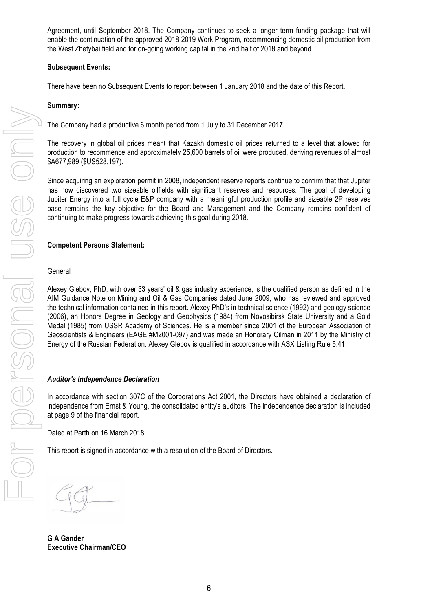Agreement, until September 2018. The Company continues to seek a longer term funding package that will enable the continuation of the approved 2018-2019 Work Program, recommencing domestic oil production from the West Zhetybai field and for on-going working capital in the 2nd half of 2018 and beyond.

### **Subsequent Events:**

There have been no Subsequent Events to report between 1 January 2018 and the date of this Report.

### **Summary:**

The Company had a productive 6 month period from 1 July to 31 December 2017.

The recovery in global oil prices meant that Kazakh domestic oil prices returned to a level that allowed for production to recommence and approximately 25,600 barrels of oil were produced, deriving revenues of almost \$A677,989 (\$US528,197).

Since acquiring an exploration permit in 2008, independent reserve reports continue to confirm that that Jupiter has now discovered two sizeable oilfields with significant reserves and resources. The goal of developing Jupiter Energy into a full cycle E&P company with a meaningful production profile and sizeable 2P reserves base remains the key objective for the Board and Management and the Company remains confident of continuing to make progress towards achieving this goal during 2018.

### **Competent Persons Statement:**

#### **General**

Alexey Glebov, PhD, with over 33 years' oil & gas industry experience, is the qualified person as defined in the AIM Guidance Note on Mining and Oil & Gas Companies dated June 2009, who has reviewed and approved the technical information contained in this report. Alexey PhD's in technical science (1992) and geology science (2006), an Honors Degree in Geology and Geophysics (1984) from Novosibirsk State University and a Gold Medal (1985) from USSR Academy of Sciences. He is a member since 2001 of the European Association of Geoscientists & Engineers (EAGE #M2001-097) and was made an Honorary Oilman in 2011 by the Ministry of Energy of the Russian Federation. Alexey Glebov is qualified in accordance with ASX Listing Rule 5.41.

#### *Auditor's Independence Declaration*

In accordance with section 307C of the Corporations Act 2001, the Directors have obtained a declaration of independence from Ernst & Young, the consolidated entity's auditors. The independence declaration is included at page 9 of the financial report.

Dated at Perth on 16 March 2018.

This report is signed in accordance with a resolution of the Board of Directors.

**G A Gander Executive Chairman/CEO**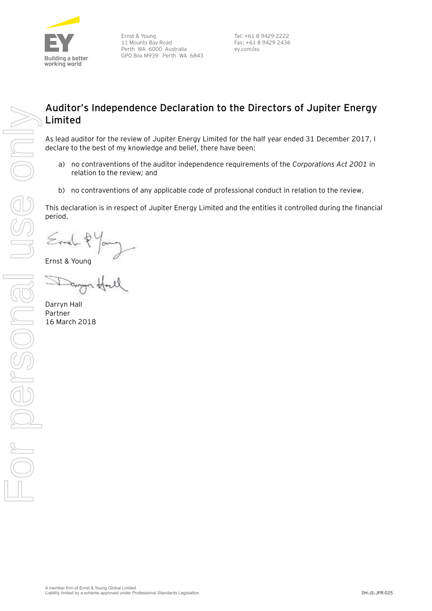

Ernst & Young 11 Mounts Bay Road Perth WA 6000 Australia GPO Box M939 Perth WA 6843

Tel: +61 8 9429 2222 Fax: +61 8 9429 2436 ey.com/au

# **Auditor's Independence Declaration to the Directors of Jupiter Energy Limited**

As lead auditor for the review of Jupiter Energy Limited for the half year ended 31 December 2017, I declare to the best of my knowledge and belief, there have been:

- a) no contraventions of the auditor independence requirements of the *Corporations Act 2001* in relation to the review*;* and
- b) no contraventions of any applicable code of professional conduct in relation to the review.

This declaration is in respect of Jupiter Energy Limited and the entities it controlled during the financial period.

 $\leq$ rne $\downarrow$  $\frac{6}{5}$ 

Ernst & Young

Darryn Hall Partner 16 March 2018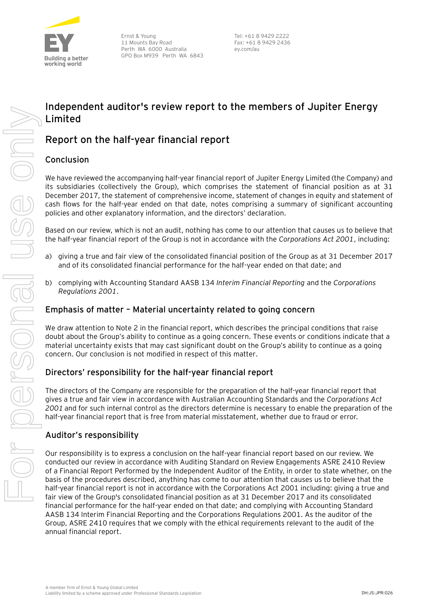

Ernst & Young 11 Mounts Bay Road Perth WA 6000 Australia GPO Box M939 Perth WA 6843

Tel: +61 8 9429 2222 Fax: +61 8 9429 2436 ey.com/au

# **Independent auditor's review report to the members of Jupiter Energy Limited**

# **Report on the half-year financial report**

### **Conclusion**

We have reviewed the accompanying half-year financial report of Jupiter Energy Limited (the Company) and its subsidiaries (collectively the Group), which comprises the statement of financial position as at 31 December 2017, the statement of comprehensive income, statement of changes in equity and statement of cash flows for the half-year ended on that date, notes comprising a summary of significant accounting policies and other explanatory information, and the directors' declaration.

Based on our review, which is not an audit, nothing has come to our attention that causes us to believe that the half-year financial report of the Group is not in accordance with the *Corporations Act 2001*, including:

- a) giving a true and fair view of the consolidated financial position of the Group as at 31 December 2017 and of its consolidated financial performance for the half-year ended on that date; and
- b) complying with Accounting Standard AASB 134 *Interim Financial Reporting* and the *Corporations Regulations 2001*.

### **Emphasis of matter – Material uncertainty related to going concern**

We draw attention to Note 2 in the financial report, which describes the principal conditions that raise doubt about the Group's ability to continue as a going concern. These events or conditions indicate that a material uncertainty exists that may cast significant doubt on the Group's ability to continue as a going concern. Our conclusion is not modified in respect of this matter.

### **Directors' responsibility for the half-year financial report**

The directors of the Company are responsible for the preparation of the half-year financial report that gives a true and fair view in accordance with Australian Accounting Standards and the *Corporations Act 2001* and for such internal control as the directors determine is necessary to enable the preparation of the half-year financial report that is free from material misstatement, whether due to fraud or error.

### **Auditor's responsibility**

Our responsibility is to express a conclusion on the half-year financial report based on our review. We conducted our review in accordance with Auditing Standard on Review Engagements ASRE 2410 Review of a Financial Report Performed by the Independent Auditor of the Entity, in order to state whether, on the basis of the procedures described, anything has come to our attention that causes us to believe that the half-year financial report is not in accordance with the Corporations Act 2001 including: giving a true and fair view of the Group's consolidated financial position as at 31 December 2017 and its consolidated financial performance for the half-year ended on that date; and complying with Accounting Standard AASB 134 Interim Financial Reporting and the Corporations Regulations 2001. As the auditor of the Group, ASRE 2410 requires that we comply with the ethical requirements relevant to the audit of the annual financial report.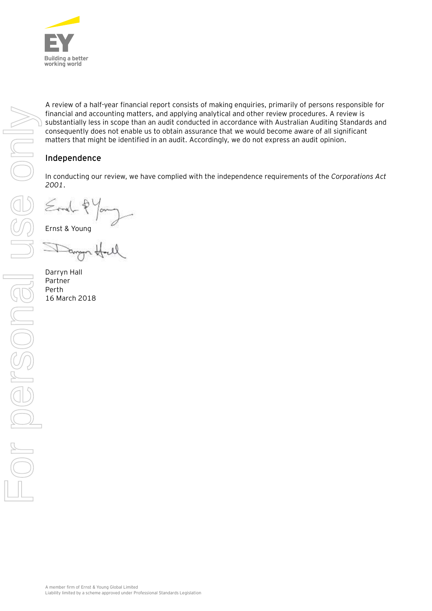

A review of a half-year financial report consists of making enquiries, primarily of persons responsible for financial and accounting matters, and applying analytical and other review procedures. A review is substantially less in scope than an audit conducted in accordance with Australian Auditing Standards and consequently does not enable us to obtain assurance that we would become aware of all significant matters that might be identified in an audit. Accordingly, we do not express an audit opinion.

### **Independence**

In conducting our review, we have complied with the independence requirements of the *Corporations Act 2001*.

 $\leq$ rma $\subset$   $\uparrow$   $\uparrow$ 

Darryn Hall Partner Perth 16 March 2018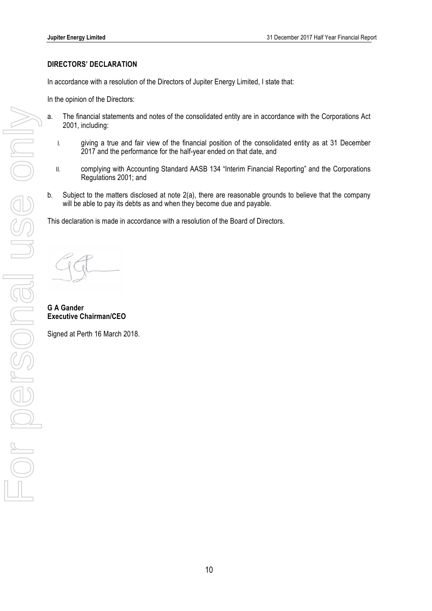### **DIRECTORS' DECLARATION**

In accordance with a resolution of the Directors of Jupiter Energy Limited, I state that:

In the opinion of the Directors:

- a. The financial statements and notes of the consolidated entity are in accordance with the Corporations Act 2001, including:
	- I. giving a true and fair view of the financial position of the consolidated entity as at 31 December 2017 and the performance for the half-year ended on that date, and
	- II. complying with Accounting Standard AASB 134 "Interim Financial Reporting" and the Corporations Regulations 2001; and
- b. Subject to the matters disclosed at note 2(a), there are reasonable grounds to believe that the company will be able to pay its debts as and when they become due and payable.

This declaration is made in accordance with a resolution of the Board of Directors.

**G A Gander Executive Chairman/CEO**

Signed at Perth 16 March 2018.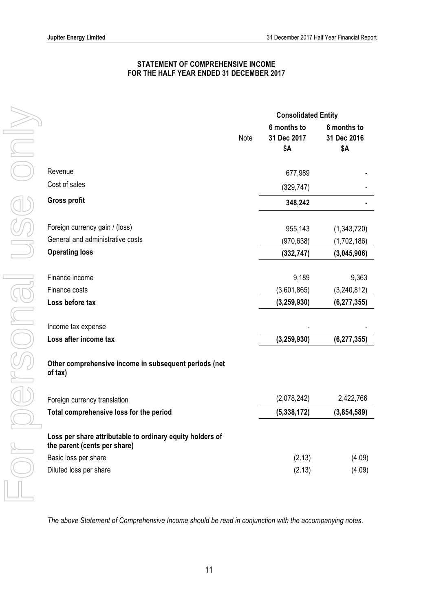### **STATEMENT OF COMPREHENSIVE INCOME FOR THE HALF YEAR ENDED 31 DECEMBER 2017**

|                                                                                           |      | <b>Consolidated Entity</b>        |                                   |
|-------------------------------------------------------------------------------------------|------|-----------------------------------|-----------------------------------|
|                                                                                           | Note | 6 months to<br>31 Dec 2017<br>\$Α | 6 months to<br>31 Dec 2016<br>\$Α |
| Revenue                                                                                   |      | 677,989                           |                                   |
| Cost of sales                                                                             |      | (329, 747)                        |                                   |
| <b>Gross profit</b>                                                                       |      | 348,242                           |                                   |
| Foreign currency gain / (loss)                                                            |      | 955,143                           | (1,343,720)                       |
| General and administrative costs                                                          |      | (970, 638)                        | (1,702,186)                       |
| <b>Operating loss</b>                                                                     |      | (332, 747)                        | (3,045,906)                       |
|                                                                                           |      |                                   |                                   |
| Finance income                                                                            |      | 9,189                             | 9,363                             |
| Finance costs                                                                             |      | (3,601,865)                       | (3,240,812)                       |
| Loss before tax                                                                           |      | (3, 259, 930)                     | (6, 277, 355)                     |
| Income tax expense                                                                        |      |                                   |                                   |
| Loss after income tax                                                                     |      | (3, 259, 930)                     | (6, 277, 355)                     |
|                                                                                           |      |                                   |                                   |
| Other comprehensive income in subsequent periods (net<br>of tax)                          |      |                                   |                                   |
| Foreign currency translation                                                              |      | (2,078,242)                       | 2,422,766                         |
| Total comprehensive loss for the period                                                   |      | (5,338,172)                       | (3,854,589)                       |
| Loss per share attributable to ordinary equity holders of<br>the parent (cents per share) |      |                                   |                                   |
| Basic loss per share                                                                      |      | (2.13)                            | (4.09)                            |
| Diluted loss per share                                                                    |      | (2.13)                            | (4.09)                            |

*The above Statement of Comprehensive Income should be read in conjunction with the accompanying notes.*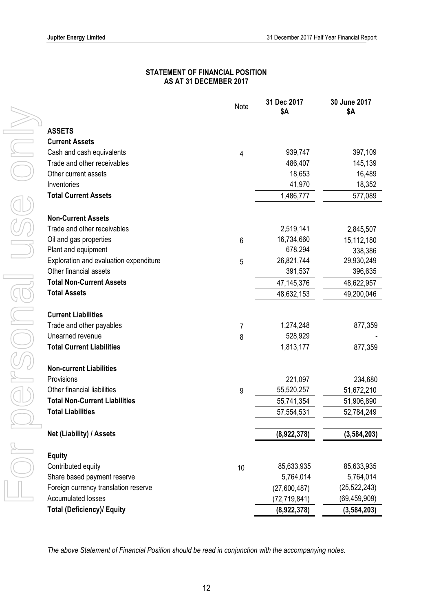### **STATEMENT OF FINANCIAL POSITION AS AT 31 DECEMBER 2017**

|                                        | Note | 31 Dec 2017<br><b>\$A</b> | 30 June 2017<br>\$Α |
|----------------------------------------|------|---------------------------|---------------------|
|                                        |      |                           |                     |
| <b>ASSETS</b>                          |      |                           |                     |
| <b>Current Assets</b>                  |      |                           |                     |
| Cash and cash equivalents              | 4    | 939,747                   | 397,109             |
| Trade and other receivables            |      | 486,407                   | 145,139             |
| Other current assets                   |      | 18,653                    | 16,489              |
| Inventories                            |      | 41,970                    | 18,352              |
| <b>Total Current Assets</b>            |      | 1,486,777                 | 577,089             |
| <b>Non-Current Assets</b>              |      |                           |                     |
| Trade and other receivables            |      | 2,519,141                 | 2,845,507           |
| Oil and gas properties                 | 6    | 16,734,660                | 15,112,180          |
| Plant and equipment                    |      | 678,294                   | 338,386             |
| Exploration and evaluation expenditure | 5    | 26,821,744                | 29,930,249          |
| Other financial assets                 |      | 391,537                   | 396,635             |
| <b>Total Non-Current Assets</b>        |      | 47,145,376                | 48,622,957          |
| <b>Total Assets</b>                    |      | 48,632,153                | 49,200,046          |
| <b>Current Liabilities</b>             |      |                           |                     |
| Trade and other payables               | 7    | 1,274,248                 | 877,359             |
| Unearned revenue                       | 8    | 528,929                   |                     |
| <b>Total Current Liabilities</b>       |      | 1,813,177                 | 877,359             |
| <b>Non-current Liabilities</b>         |      |                           |                     |
| Provisions                             |      | 221,097                   | 234,680             |
| Other financial liabilities            | 9    | 55,520,257                | 51,672,210          |
| <b>Total Non-Current Liabilities</b>   |      | 55,741,354                | 51,906,890          |
| <b>Total Liabilities</b>               |      | 57,554,531                | 52,784,249          |
| Net (Liability) / Assets               |      | (8,922,378)               | (3, 584, 203)       |
|                                        |      |                           |                     |
| <b>Equity</b>                          |      |                           |                     |
| Contributed equity                     | 10   | 85,633,935                | 85,633,935          |
| Share based payment reserve            |      | 5,764,014                 | 5,764,014           |
| Foreign currency translation reserve   |      | (27,600,487)              | (25, 522, 243)      |
| <b>Accumulated losses</b>              |      | (72, 719, 841)            | (69, 459, 909)      |
| <b>Total (Deficiency)/ Equity</b>      |      | (8,922,378)               | (3, 584, 203)       |

*The above Statement of Financial Position should be read in conjunction with the accompanying notes.*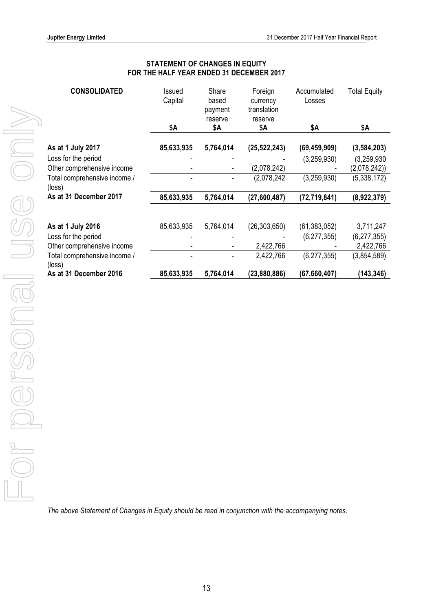### **STATEMENT OF CHANGES IN EQUITY FOR THE HALF YEAR ENDED 31 DECEMBER 2017**

| <b>CONSOLIDATED</b>                    | Issued<br>Capital | Share<br>based<br>payment<br>reserve | Foreign<br>currency<br>translation<br>reserve | Accumulated<br>Losses | <b>Total Equity</b> |
|----------------------------------------|-------------------|--------------------------------------|-----------------------------------------------|-----------------------|---------------------|
|                                        | \$Α               | \$Α                                  | \$Α                                           | \$Α                   | \$Α                 |
| As at 1 July 2017                      | 85,633,935        | 5,764,014                            | (25, 522, 243)                                | (69, 459, 909)        | (3, 584, 203)       |
| Loss for the period                    |                   |                                      |                                               | (3,259,930)           | (3, 259, 930)       |
| Other comprehensive income             |                   | $\overline{\phantom{a}}$             | (2,078,242)                                   |                       | (2,078,242)         |
| Total comprehensive income /<br>(loss) |                   |                                      | (2,078,242)                                   | (3,259,930)           | (5,338,172)         |
| As at 31 December 2017                 | 85,633,935        | 5,764,014                            | (27,600,487)                                  | (72, 719, 841)        | (8,922,379)         |
|                                        |                   |                                      |                                               |                       |                     |
| As at 1 July 2016                      | 85,633,935        | 5,764,014                            | (26, 303, 650)                                | (61, 383, 052)        | 3,711,247           |
| Loss for the period                    |                   |                                      |                                               | (6, 277, 355)         | (6, 277, 355)       |
| Other comprehensive income             |                   | -                                    | 2,422,766                                     |                       | 2,422,766           |
| Total comprehensive income /<br>(loss) |                   |                                      | 2,422,766                                     | (6, 277, 355)         | (3,854,589)         |
| As at 31 December 2016                 | 85,633,935        | 5,764,014                            | (23,880,886)                                  | (67, 660, 407)        | (143, 346)          |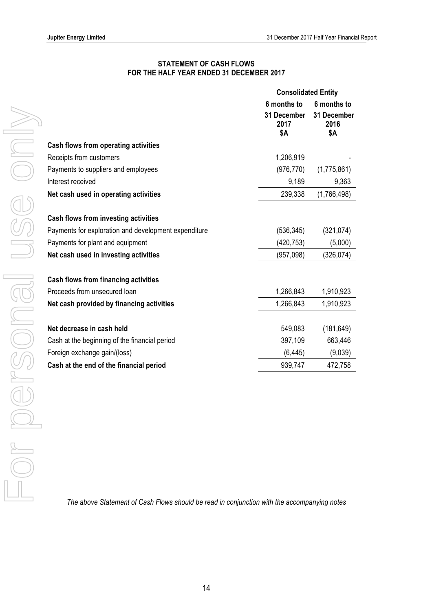### **STATEMENT OF CASH FLOWS FOR THE HALF YEAR ENDED 31 DECEMBER 2017**

|                                                      | <b>Consolidated Entity</b> |                     |
|------------------------------------------------------|----------------------------|---------------------|
|                                                      | 6 months to                | 6 months to         |
|                                                      | 31 December<br>2017        | 31 December<br>2016 |
|                                                      | <b>\$A</b>                 | \$Α                 |
| <b>Cash flows from operating activities</b>          |                            |                     |
| Receipts from customers                              | 1,206,919                  |                     |
| Payments to suppliers and employees                  | (976, 770)                 | (1,775,861)         |
| Interest received                                    | 9,189                      | 9,363               |
| Net cash used in operating activities                | 239,338                    | (1,766,498)         |
|                                                      |                            |                     |
| <b>Cash flows from investing activities</b>          |                            |                     |
| Payments for exploration and development expenditure | (536, 345)                 | (321, 074)          |
| Payments for plant and equipment                     | (420, 753)                 | (5,000)             |
| Net cash used in investing activities                | (957, 098)                 | (326, 074)          |
| <b>Cash flows from financing activities</b>          |                            |                     |
| Proceeds from unsecured loan                         | 1,266,843                  | 1,910,923           |
| Net cash provided by financing activities            | 1,266,843                  | 1,910,923           |
| Net decrease in cash held                            | 549,083                    | (181, 649)          |
| Cash at the beginning of the financial period        | 397,109                    | 663,446             |
|                                                      | (6, 445)                   | (9,039)             |
| Foreign exchange gain/(loss)                         |                            |                     |
| Cash at the end of the financial period              | 939,747                    | 472,758             |

*The above Statement of Cash Flows should be read in conjunction with the accompanying notes*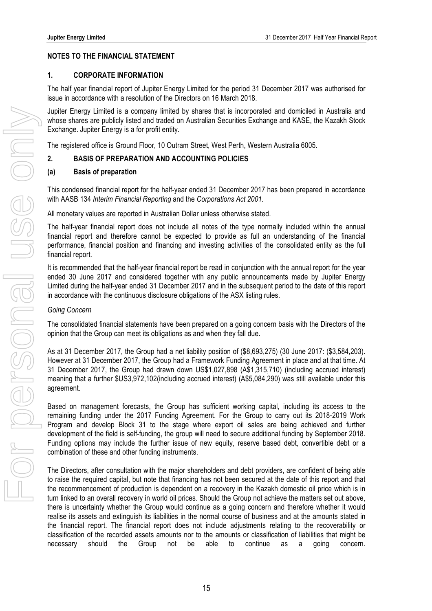### **NOTES TO THE FINANCIAL STATEMENT**

### **1. CORPORATE INFORMATION**

The half year financial report of Jupiter Energy Limited for the period 31 December 2017 was authorised for issue in accordance with a resolution of the Directors on 16 March 2018.

Jupiter Energy Limited is a company limited by shares that is incorporated and domiciled in Australia and whose shares are publicly listed and traded on Australian Securities Exchange and KASE, the Kazakh Stock Exchange. Jupiter Energy is a for profit entity.

The registered office is Ground Floor, 10 Outram Street, West Perth, Western Australia 6005.

### **2. BASIS OF PREPARATION AND ACCOUNTING POLICIES**

#### **(a) Basis of preparation**

This condensed financial report for the half-year ended 31 December 2017 has been prepared in accordance with AASB 134 *Interim Financial Reporting* and the *Corporations Act 2001.*

All monetary values are reported in Australian Dollar unless otherwise stated.

The half-year financial report does not include all notes of the type normally included within the annual financial report and therefore cannot be expected to provide as full an understanding of the financial performance, financial position and financing and investing activities of the consolidated entity as the full financial report.

It is recommended that the half-year financial report be read in conjunction with the annual report for the year ended 30 June 2017 and considered together with any public announcements made by Jupiter Energy Limited during the half-year ended 31 December 2017 and in the subsequent period to the date of this report in accordance with the continuous disclosure obligations of the ASX listing rules.

#### *Going Concern*

The consolidated financial statements have been prepared on a going concern basis with the Directors of the opinion that the Group can meet its obligations as and when they fall due.

As at 31 December 2017, the Group had a net liability position of (\$8,693,275) (30 June 2017: (\$3,584,203). However at 31 December 2017, the Group had a Framework Funding Agreement in place and at that time. At 31 December 2017, the Group had drawn down US\$1,027,898 (A\$1,315,710) (including accrued interest) meaning that a further \$US3,972,102(including accrued interest) (A\$5,084,290) was still available under this agreement.

Based on management forecasts, the Group has sufficient working capital, including its access to the remaining funding under the 2017 Funding Agreement. For the Group to carry out its 2018-2019 Work Program and develop Block 31 to the stage where export oil sales are being achieved and further development of the field is self-funding, the group will need to secure additional funding by September 2018. Funding options may include the further issue of new equity, reserve based debt, convertible debt or a combination of these and other funding instruments.

The Directors, after consultation with the major shareholders and debt providers, are confident of being able to raise the required capital, but note that financing has not been secured at the date of this report and that the recommencement of production is dependent on a recovery in the Kazakh domestic oil price which is in turn linked to an overall recovery in world oil prices. Should the Group not achieve the matters set out above, there is uncertainty whether the Group would continue as a going concern and therefore whether it would realise its assets and extinguish its liabilities in the normal course of business and at the amounts stated in the financial report. The financial report does not include adjustments relating to the recoverability or classification of the recorded assets amounts nor to the amounts or classification of liabilities that might be necessary should the Group not be able to continue as a going concern.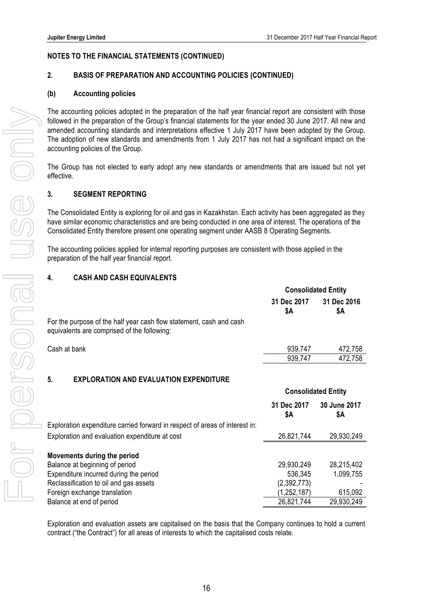### **2. BASIS OF PREPARATION AND ACCOUNTING POLICIES (CONTINUED)**

#### **(b) Accounting policies**

The accounting policies adopted in the preparation of the half year financial report are consistent with those followed in the preparation of the Group's financial statements for the year ended 30 June 2017. All new and amended accounting standards and interpretations effective 1 July 2017 have been adopted by the Group. The adoption of new standards and amendments from 1 July 2017 has not had a significant impact on the accounting policies of the Group.

The Group has not elected to early adopt any new standards or amendments that are issued but not yet effective.

#### **3. SEGMENT REPORTING**

The Consolidated Entity is exploring for oil and gas in Kazakhstan. Each activity has been aggregated as they have similar economic characteristics and are being conducted in one area of interest. The operations of the Consolidated Entity therefore present one operating segment under AASB 8 Operating Segments.

The accounting policies applied for internal reporting purposes are consistent with those applied in the preparation of the half year financial report.

#### **4. CASH AND CASH EQUIVALENTS**

|                                                                                                                    | <b>Consolidated Entity</b> |                            |
|--------------------------------------------------------------------------------------------------------------------|----------------------------|----------------------------|
|                                                                                                                    | 31 Dec 2017<br>\$Α         | 31 Dec 2016<br>\$Α         |
| For the purpose of the half year cash flow statement, cash and cash<br>equivalents are comprised of the following: |                            |                            |
| Cash at bank                                                                                                       | 939,747                    | 472,758                    |
|                                                                                                                    | 939,747                    | 472,758                    |
| 5.<br><b>EXPLORATION AND EVALUATION EXPENDITURE</b>                                                                |                            |                            |
|                                                                                                                    |                            | <b>Consolidated Entity</b> |
|                                                                                                                    | 31 Dec 2017<br>\$Α         | 30 June 2017<br>\$Α        |
| Exploration expenditure carried forward in respect of areas of interest in:                                        |                            |                            |
| Exploration and evaluation expenditure at cost                                                                     | 26,821,744                 | 29,930,249                 |
| Movements during the period                                                                                        |                            |                            |
| Balance at beginning of period                                                                                     | 29,930,249                 | 28,215,402                 |
| Expenditure incurred during the period                                                                             | 536,345                    | 1,099,755                  |
| Reclassification to oil and gas assets                                                                             | (2,392,773)                |                            |
| Foreign exchange translation                                                                                       | (1, 252, 187)              | 615,092                    |
| Balance at end of period                                                                                           | 26,821,744                 | 29,930,249                 |

Exploration and evaluation assets are capitalised on the basis that the Company continues to hold a current contract ("the Contract") for all areas of interests to which the capitalised costs relate.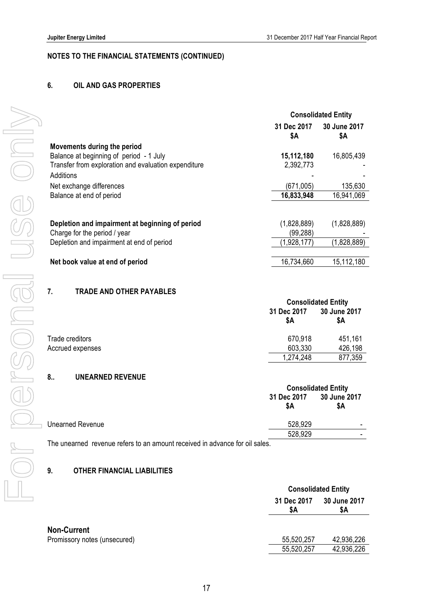### **6. OIL AND GAS PROPERTIES**

|                                                      | <b>Consolidated Entity</b> |                     |
|------------------------------------------------------|----------------------------|---------------------|
|                                                      | 31 Dec 2017<br>\$Α         | 30 June 2017<br>\$Α |
| Movements during the period                          |                            |                     |
| Balance at beginning of period - 1 July              | 15,112,180                 | 16,805,439          |
| Transfer from exploration and evaluation expenditure | 2,392,773                  |                     |
| Additions                                            |                            |                     |
| Net exchange differences                             | (671,005)                  | 135,630             |
| Balance at end of period                             | 16,833,948                 | 16,941,069          |
|                                                      |                            |                     |
| Depletion and impairment at beginning of period      | (1,828,889)                | (1,828,889)         |
| Charge for the period / year                         | (99,288)                   |                     |
| Depletion and impairment at end of period            | (1,928,177)                | (1,828,889)         |
|                                                      |                            |                     |
| Net book value at end of period                      | 16,734,660                 | 15,112,180          |
|                                                      |                            |                     |

### **7. TRADE AND OTHER PAYABLES**

|                  |                    | <b>Consolidated Entity</b> |  |
|------------------|--------------------|----------------------------|--|
|                  | 31 Dec 2017<br>\$Α | 30 June 2017<br>\$A        |  |
| Trade creditors  | 670,918            | 451,161                    |  |
| Accrued expenses | 603,330            | 426,198                    |  |
|                  | 1,274,248          | 877,359                    |  |

### **8.. UNEARNED REVENUE**

|                                                                             | <b>Consolidated Entity</b> |                     |
|-----------------------------------------------------------------------------|----------------------------|---------------------|
|                                                                             | 31 Dec 2017<br>\$Α         | 30 June 2017<br>\$A |
| Unearned Revenue                                                            | 528,929                    |                     |
|                                                                             | 528,929                    |                     |
| The unearned revenue refers to an amount received in advance for oil sales. |                            |                     |

### **9. OTHER FINANCIAL LIABILITIES**

|                              | <b>Consolidated Entity</b> |                     |
|------------------------------|----------------------------|---------------------|
|                              | 31 Dec 2017<br>\$A         | 30 June 2017<br>\$Α |
| <b>Non-Current</b>           |                            |                     |
| Promissory notes (unsecured) | 55,520,257                 | 42,936,226          |
|                              | 55,520,257                 | 42,936,226          |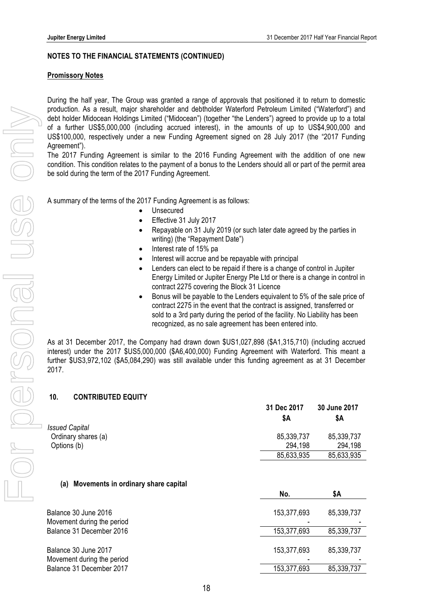### **Promissory Notes**

During the half year, The Group was granted a range of approvals that positioned it to return to domestic production. As a result, major shareholder and debtholder Waterford Petroleum Limited ("Waterford") and debt holder Midocean Holdings Limited ("Midocean") (together "the Lenders") agreed to provide up to a total of a further US\$5,000,000 (including accrued interest), in the amounts of up to US\$4,900,000 and US\$100,000, respectively under a new Funding Agreement signed on 28 July 2017 (the "2017 Funding Agreement").

The 2017 Funding Agreement is similar to the 2016 Funding Agreement with the addition of one new condition. This condition relates to the payment of a bonus to the Lenders should all or part of the permit area be sold during the term of the 2017 Funding Agreement.

A summary of the terms of the 2017 Funding Agreement is as follows:

- **Unsecured**
- Effective 31 July 2017
- Repayable on 31 July 2019 (or such later date agreed by the parties in writing) (the "Repayment Date")
- Interest rate of 15% pa
- Interest will accrue and be repayable with principal
- Lenders can elect to be repaid if there is a change of control in Jupiter Energy Limited or Jupiter Energy Pte Ltd or there is a change in control in contract 2275 covering the Block 31 Licence
- Bonus will be payable to the Lenders equivalent to 5% of the sale price of contract 2275 in the event that the contract is assigned, transferred or sold to a 3rd party during the period of the facility. No Liability has been recognized, as no sale agreement has been entered into.

As at 31 December 2017, the Company had drawn down \$US1,027,898 (\$A1,315,710) (including accrued interest) under the 2017 \$US5,000,000 (\$A6,400,000) Funding Agreement with Waterford. This meant a further \$US3,972,102 (\$A5,084,290) was still available under this funding agreement as at 31 December 2017.

### **10. CONTRIBUTED EQUITY**

|                       | 31 Dec 2017 | 30 June 2017 |
|-----------------------|-------------|--------------|
|                       | SΑ          | SΑ           |
| <b>Issued Capital</b> |             |              |
| Ordinary shares (a)   | 85,339,737  | 85,339,737   |
| Options (b)           | 294.198     | 294,198      |
|                       | 85,633,935  | 85,633,935   |

### **(a) Movements in ordinary share capital**

|                            | No.         | \$Α        |
|----------------------------|-------------|------------|
| Balance 30 June 2016       | 153,377,693 | 85,339,737 |
| Movement during the period |             |            |
| Balance 31 December 2016   | 153,377,693 | 85,339,737 |
| Balance 30 June 2017       | 153,377,693 | 85,339,737 |
| Movement during the period |             |            |
| Balance 31 December 2017   | 153,377,693 | 85,339,737 |